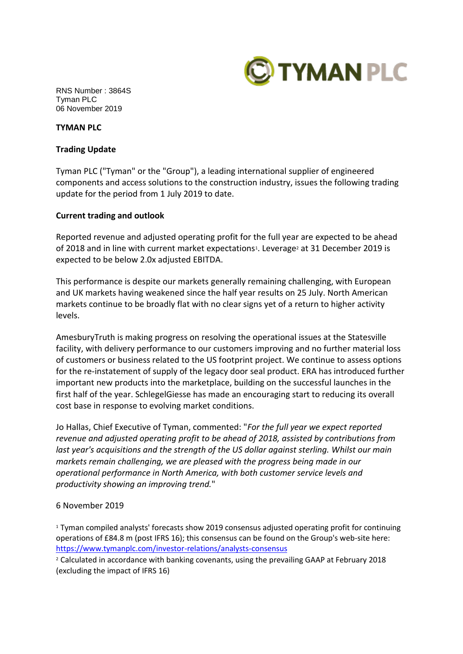

RNS Number : 3864S Tyman PLC 06 November 2019

### **TYMAN PLC**

### **Trading Update**

Tyman PLC ("Tyman" or the "Group"), a leading international supplier of engineered components and access solutions to the construction industry, issues the following trading update for the period from 1 July 2019 to date.

# **Current trading and outlook**

Reported revenue and adjusted operating profit for the full year are expected to be ahead of 2018 and in line with current market expectations<sup>1</sup>. Leverage<sup>2</sup> at 31 December 2019 is expected to be below 2.0x adjusted EBITDA.

This performance is despite our markets generally remaining challenging, with European and UK markets having weakened since the half year results on 25 July. North American markets continue to be broadly flat with no clear signs yet of a return to higher activity levels.

AmesburyTruth is making progress on resolving the operational issues at the Statesville facility, with delivery performance to our customers improving and no further material loss of customers or business related to the US footprint project. We continue to assess options for the re-instatement of supply of the legacy door seal product. ERA has introduced further important new products into the marketplace, building on the successful launches in the first half of the year. SchlegelGiesse has made an encouraging start to reducing its overall cost base in response to evolving market conditions.

Jo Hallas, Chief Executive of Tyman, commented: "*For the full year we expect reported revenue and adjusted operating profit to be ahead of 2018, assisted by contributions from last year's acquisitions and the strength of the US dollar against sterling. Whilst our main markets remain challenging, we are pleased with the progress being made in our operational performance in North America, with both customer service levels and productivity showing an improving trend.*"

# 6 November 2019

<sup>1</sup> Tyman compiled analysts' forecasts show 2019 consensus adjusted operating profit for continuing operations of £84.8 m (post IFRS 16); this consensus can be found on the Group's web-site here: <https://www.tymanplc.com/investor-relations/analysts-consensus>

<sup>2</sup> Calculated in accordance with banking covenants, using the prevailing GAAP at February 2018 (excluding the impact of IFRS 16)